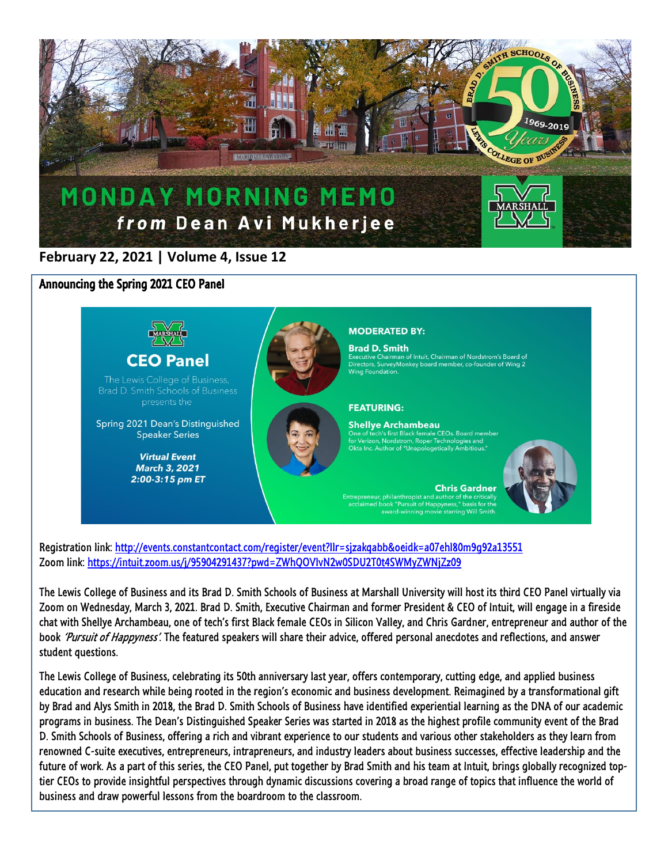

## **February 22, 2021 | Volume 4, Issue 12**

Announcing the Spring 2021 CEO Panel



Registration link[: http://events.constantcontact.com/register/event?llr=sjzakqabb&oeidk=a07ehl80m9g92a13551](http://events.constantcontact.com/register/event?llr=sjzakqabb&oeidk=a07ehl80m9g92a13551) Zoom link: <https://intuit.zoom.us/j/95904291437?pwd=ZWhQOVlvN2w0SDU2T0t4SWMyZWNjZz09>

The Lewis College of Business and its Brad D. Smith Schools of Business at Marshall University will host its third CEO Panel virtually via Zoom on Wednesday, March 3, 2021. Brad D. Smith, Executive Chairman and former President & CEO of Intuit, will engage in a fireside chat with Shellye Archambeau, one of tech's first Black female CEOs in Silicon Valley, and Chris Gardner, entrepreneur and author of the book 'Pursuit of Happyness'. The featured speakers will share their advice, offered personal anecdotes and reflections, and answer student questions.

The Lewis College of Business, celebrating its 50th anniversary last year, offers contemporary, cutting edge, and applied business education and research while being rooted in the region's economic and business development. Reimagined by a transformational gift by Brad and Alys Smith in 2018, the Brad D. Smith Schools of Business have identified experiential learning as the DNA of our academic programs in business. The Dean's Distinguished Speaker Series was started in 2018 as the highest profile community event of the Brad D. Smith Schools of Business, offering a rich and vibrant experience to our students and various other stakeholders as they learn from renowned C-suite executives, entrepreneurs, intrapreneurs, and industry leaders about business successes, effective leadership and the future of work. As a part of this series, the CEO Panel, put together by Brad Smith and his team at Intuit, brings globally recognized toptier CEOs to provide insightful perspectives through dynamic discussions covering a broad range of topics that influence the world of business and draw powerful lessons from the boardroom to the classroom.